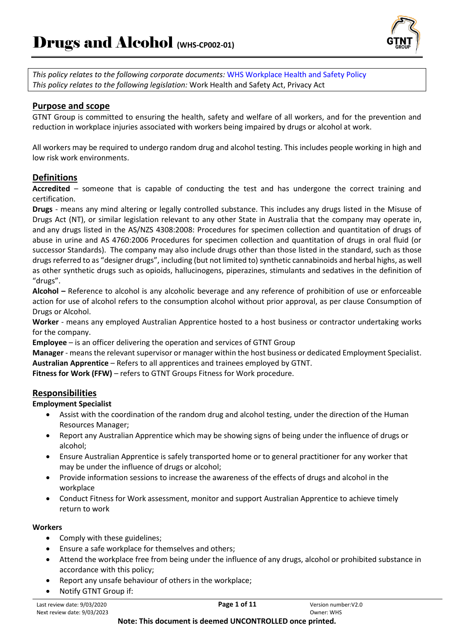

*This policy relates to the following corporate documents:* WHS Workplace Health and Safety Policy *This policy relates to the following legislation:* Work Health and Safety Act, Privacy Act

### **Purpose and scope**

GTNT Group is committed to ensuring the health, safety and welfare of all workers, and for the prevention and reduction in workplace injuries associated with workers being impaired by drugs or alcohol at work.

All workers may be required to undergo random drug and alcohol testing. This includes people working in high and low risk work environments.

### **Definitions**

**Accredited** – someone that is capable of conducting the test and has undergone the correct training and certification.

**Drugs** - means any mind altering or legally controlled substance. This includes any drugs listed in the Misuse of Drugs Act (NT), or similar legislation relevant to any other State in Australia that the company may operate in, and any drugs listed in the AS/NZS 4308:2008: Procedures for specimen collection and quantitation of drugs of abuse in urine and AS 4760:2006 Procedures for specimen collection and quantitation of drugs in oral fluid (or successor Standards). The company may also include drugs other than those listed in the standard, such as those drugs referred to as "designer drugs", including (but not limited to) synthetic cannabinoids and herbal highs, as well as other synthetic drugs such as opioids, hallucinogens, piperazines, stimulants and sedatives in the definition of "drugs".

**Alcohol –** Reference to alcohol is any alcoholic beverage and any reference of prohibition of use or enforceable action for use of alcohol refers to the consumption alcohol without prior approval, as per clause Consumption of Drugs or Alcohol.

**Worker** - means any employed Australian Apprentice hosted to a host business or contractor undertaking works for the company.

**Employee** – is an officer delivering the operation and services of GTNT Group

**Manager** - means the relevant supervisor or manager within the host business or dedicated Employment Specialist. **Australian Apprentice** – Refers to all apprentices and trainees employed by GTNT.

**Fitness for Work (FFW)** – refers to GTNT Groups Fitness for Work procedure.

#### **Responsibilities**

#### **Employment Specialist**

- Assist with the coordination of the random drug and alcohol testing, under the direction of the Human Resources Manager;
- Report any Australian Apprentice which may be showing signs of being under the influence of drugs or alcohol;
- Ensure Australian Apprentice is safely transported home or to general practitioner for any worker that may be under the influence of drugs or alcohol;
- Provide information sessions to increase the awareness of the effects of drugs and alcohol in the workplace
- Conduct Fitness for Work assessment, monitor and support Australian Apprentice to achieve timely return to work

#### **Workers**

- Comply with these guidelines;
- Ensure a safe workplace for themselves and others;
- Attend the workplace free from being under the influence of any drugs, alcohol or prohibited substance in accordance with this policy;
- Report any unsafe behaviour of others in the workplace;
- Notify GTNT Group if: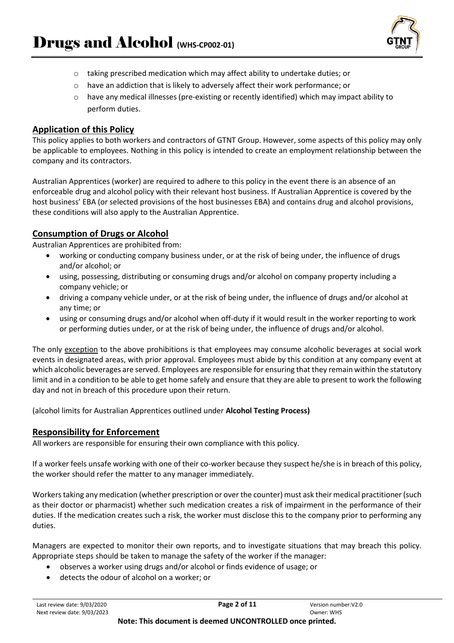

- o taking prescribed medication which may affect ability to undertake duties; or
- o have an addiction that is likely to adversely affect their work performance; or
- $\circ$  have any medical illnesses (pre-existing or recently identified) which may impact ability to perform duties.

#### **Application of this Policy**

This policy applies to both workers and contractors of GTNT Group. However, some aspects of this policy may only be applicable to employees. Nothing in this policy is intended to create an employment relationship between the company and its contractors.

Australian Apprentices (worker) are required to adhere to this policy in the event there is an absence of an enforceable drug and alcohol policy with their relevant host business. If Australian Apprentice is covered by the host business' EBA (or selected provisions of the host businesses EBA) and contains drug and alcohol provisions, these conditions will also apply to the Australian Apprentice.

#### **Consumption of Drugs or Alcohol**

Australian Apprentices are prohibited from:

- working or conducting company business under, or at the risk of being under, the influence of drugs and/or alcohol; or
- using, possessing, distributing or consuming drugs and/or alcohol on company property including a company vehicle; or
- driving a company vehicle under, or at the risk of being under, the influence of drugs and/or alcohol at any time; or
- using or consuming drugs and/or alcohol when off-duty if it would result in the worker reporting to work or performing duties under, or at the risk of being under, the influence of drugs and/or alcohol.

The only exception to the above prohibitions is that employees may consume alcoholic beverages at social work events in designated areas, with prior approval. Employees must abide by this condition at any company event at which alcoholic beverages are served. Employees are responsible for ensuring that they remain within the statutory limit and in a condition to be able to get home safely and ensure that they are able to present to work the following day and not in breach of this procedure upon their return.

(alcohol limits for Australian Apprentices outlined under **Alcohol Testing Process)**

#### **Responsibility for Enforcement**

All workers are responsible for ensuring their own compliance with this policy.

If a worker feels unsafe working with one of their co-worker because they suspect he/she is in breach of this policy, the worker should refer the matter to any manager immediately.

Workers taking any medication (whether prescription or over the counter) must ask their medical practitioner (such as their doctor or pharmacist) whether such medication creates a risk of impairment in the performance of their duties. If the medication creates such a risk, the worker must disclose this to the company prior to performing any duties.

Managers are expected to monitor their own reports, and to investigate situations that may breach this policy. Appropriate steps should be taken to manage the safety of the worker if the manager:

- observes a worker using drugs and/or alcohol or finds evidence of usage; or
- detects the odour of alcohol on a worker; or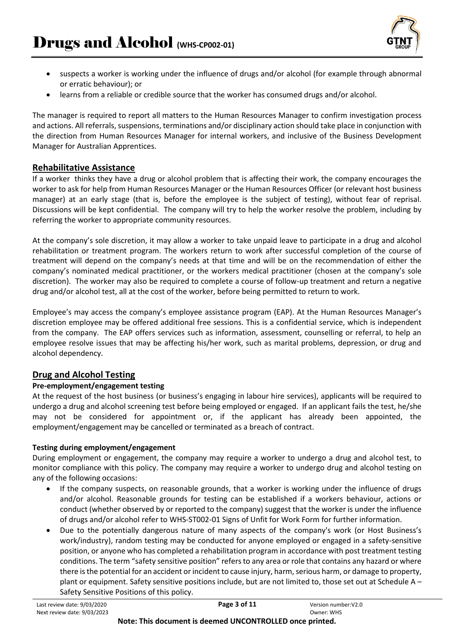

- suspects a worker is working under the influence of drugs and/or alcohol (for example through abnormal or erratic behaviour); or
- learns from a reliable or credible source that the worker has consumed drugs and/or alcohol.

The manager is required to report all matters to the Human Resources Manager to confirm investigation process and actions. All referrals, suspensions, terminations and/or disciplinary action should take place in conjunction with the direction from Human Resources Manager for internal workers, and inclusive of the Business Development Manager for Australian Apprentices.

### **Rehabilitative Assistance**

If a worker thinks they have a drug or alcohol problem that is affecting their work, the company encourages the worker to ask for help from Human Resources Manager or the Human Resources Officer (or relevant host business manager) at an early stage (that is, before the employee is the subject of testing), without fear of reprisal. Discussions will be kept confidential. The company will try to help the worker resolve the problem, including by referring the worker to appropriate community resources.

At the company's sole discretion, it may allow a worker to take unpaid leave to participate in a drug and alcohol rehabilitation or treatment program. The workers return to work after successful completion of the course of treatment will depend on the company's needs at that time and will be on the recommendation of either the company's nominated medical practitioner, or the workers medical practitioner (chosen at the company's sole discretion). The worker may also be required to complete a course of follow-up treatment and return a negative drug and/or alcohol test, all at the cost of the worker, before being permitted to return to work.

Employee's may access the company's employee assistance program (EAP). At the Human Resources Manager's discretion employee may be offered additional free sessions. This is a confidential service, which is independent from the company. The EAP offers services such as information, assessment, counselling or referral, to help an employee resolve issues that may be affecting his/her work, such as marital problems, depression, or drug and alcohol dependency.

## **Drug and Alcohol Testing**

### **Pre-employment/engagement testing**

At the request of the host business (or business's engaging in labour hire services), applicants will be required to undergo a drug and alcohol screening test before being employed or engaged. If an applicant fails the test, he/she may not be considered for appointment or, if the applicant has already been appointed, the employment/engagement may be cancelled or terminated as a breach of contract.

### **Testing during employment/engagement**

During employment or engagement, the company may require a worker to undergo a drug and alcohol test, to monitor compliance with this policy. The company may require a worker to undergo drug and alcohol testing on any of the following occasions:

- If the company suspects, on reasonable grounds, that a worker is working under the influence of drugs and/or alcohol. Reasonable grounds for testing can be established if a workers behaviour, actions or conduct (whether observed by or reported to the company) suggest that the worker is under the influence of drugs and/or alcohol refer to WHS-ST002-01 Signs of Unfit for Work Form for further information.
- Due to the potentially dangerous nature of many aspects of the company's work (or Host Business's work/industry), random testing may be conducted for anyone employed or engaged in a safety-sensitive position, or anyone who has completed a rehabilitation program in accordance with post treatment testing conditions. The term "safety sensitive position" refers to any area or role that contains any hazard or where there is the potential for an accident or incident to cause injury, harm, serious harm, or damage to property, plant or equipment. Safety sensitive positions include, but are not limited to, those set out at Schedule A – Safety Sensitive Positions of this policy.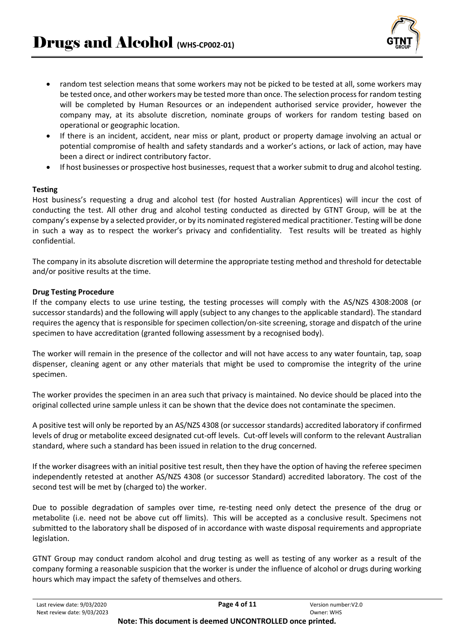

- random test selection means that some workers may not be picked to be tested at all, some workers may be tested once, and other workers may be tested more than once. The selection process for random testing will be completed by Human Resources or an independent authorised service provider, however the company may, at its absolute discretion, nominate groups of workers for random testing based on operational or geographic location.
- If there is an incident, accident, near miss or plant, product or property damage involving an actual or potential compromise of health and safety standards and a worker's actions, or lack of action, may have been a direct or indirect contributory factor.
- If host businesses or prospective host businesses, request that a worker submit to drug and alcohol testing.

#### **Testing**

Host business's requesting a drug and alcohol test (for hosted Australian Apprentices) will incur the cost of conducting the test. All other drug and alcohol testing conducted as directed by GTNT Group, will be at the company's expense by a selected provider, or by its nominated registered medical practitioner. Testing will be done in such a way as to respect the worker's privacy and confidentiality. Test results will be treated as highly confidential.

The company in its absolute discretion will determine the appropriate testing method and threshold for detectable and/or positive results at the time.

#### **Drug Testing Procedure**

If the company elects to use urine testing, the testing processes will comply with the AS/NZS 4308:2008 (or successor standards) and the following will apply (subject to any changes to the applicable standard). The standard requires the agency that is responsible for specimen collection/on-site screening, storage and dispatch of the urine specimen to have accreditation (granted following assessment by a recognised body).

The worker will remain in the presence of the collector and will not have access to any water fountain, tap, soap dispenser, cleaning agent or any other materials that might be used to compromise the integrity of the urine specimen.

The worker provides the specimen in an area such that privacy is maintained. No device should be placed into the original collected urine sample unless it can be shown that the device does not contaminate the specimen.

A positive test will only be reported by an AS/NZS 4308 (or successor standards) accredited laboratory if confirmed levels of drug or metabolite exceed designated cut-off levels. Cut-off levels will conform to the relevant Australian standard, where such a standard has been issued in relation to the drug concerned.

If the worker disagrees with an initial positive test result, then they have the option of having the referee specimen independently retested at another AS/NZS 4308 (or successor Standard) accredited laboratory. The cost of the second test will be met by (charged to) the worker.

Due to possible degradation of samples over time, re-testing need only detect the presence of the drug or metabolite (i.e. need not be above cut off limits). This will be accepted as a conclusive result. Specimens not submitted to the laboratory shall be disposed of in accordance with waste disposal requirements and appropriate legislation.

GTNT Group may conduct random alcohol and drug testing as well as testing of any worker as a result of the company forming a reasonable suspicion that the worker is under the influence of alcohol or drugs during working hours which may impact the safety of themselves and others.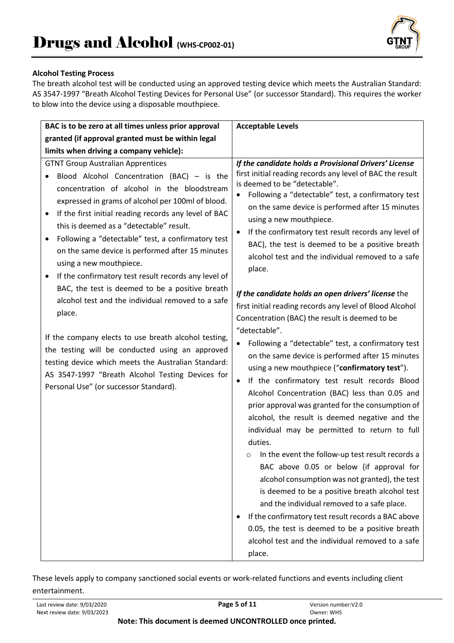

### **Alcohol Testing Process**

The breath alcohol test will be conducted using an approved testing device which meets the Australian Standard: AS 3547-1997 "Breath Alcohol Testing Devices for Personal Use" (or successor Standard). This requires the worker to blow into the device using a disposable mouthpiece.

| BAC is to be zero at all times unless prior approval                                                                                                                                                                                                                                                                                                                                                                                                                                                                                                                                                                                                                                                                                                                                                                                                                                                     | <b>Acceptable Levels</b>                                                                                                                                                                                                                                                                                                                                                                                                                                                                                                                                                                                                                                                                                                                                                                                                                                                                                                                                                                                                                                                                                                                                                                                                                                                                                                                                                                                                                                                                                                                                  |
|----------------------------------------------------------------------------------------------------------------------------------------------------------------------------------------------------------------------------------------------------------------------------------------------------------------------------------------------------------------------------------------------------------------------------------------------------------------------------------------------------------------------------------------------------------------------------------------------------------------------------------------------------------------------------------------------------------------------------------------------------------------------------------------------------------------------------------------------------------------------------------------------------------|-----------------------------------------------------------------------------------------------------------------------------------------------------------------------------------------------------------------------------------------------------------------------------------------------------------------------------------------------------------------------------------------------------------------------------------------------------------------------------------------------------------------------------------------------------------------------------------------------------------------------------------------------------------------------------------------------------------------------------------------------------------------------------------------------------------------------------------------------------------------------------------------------------------------------------------------------------------------------------------------------------------------------------------------------------------------------------------------------------------------------------------------------------------------------------------------------------------------------------------------------------------------------------------------------------------------------------------------------------------------------------------------------------------------------------------------------------------------------------------------------------------------------------------------------------------|
| granted (if approval granted must be within legal                                                                                                                                                                                                                                                                                                                                                                                                                                                                                                                                                                                                                                                                                                                                                                                                                                                        |                                                                                                                                                                                                                                                                                                                                                                                                                                                                                                                                                                                                                                                                                                                                                                                                                                                                                                                                                                                                                                                                                                                                                                                                                                                                                                                                                                                                                                                                                                                                                           |
| limits when driving a company vehicle):                                                                                                                                                                                                                                                                                                                                                                                                                                                                                                                                                                                                                                                                                                                                                                                                                                                                  |                                                                                                                                                                                                                                                                                                                                                                                                                                                                                                                                                                                                                                                                                                                                                                                                                                                                                                                                                                                                                                                                                                                                                                                                                                                                                                                                                                                                                                                                                                                                                           |
| <b>GTNT Group Australian Apprentices</b><br>Blood Alcohol Concentration (BAC) - is the<br>concentration of alcohol in the bloodstream<br>expressed in grams of alcohol per 100ml of blood.<br>If the first initial reading records any level of BAC<br>$\bullet$<br>this is deemed as a "detectable" result.<br>Following a "detectable" test, a confirmatory test<br>$\bullet$<br>on the same device is performed after 15 minutes<br>using a new mouthpiece.<br>If the confirmatory test result records any level of<br>BAC, the test is deemed to be a positive breath<br>alcohol test and the individual removed to a safe<br>place.<br>If the company elects to use breath alcohol testing,<br>the testing will be conducted using an approved<br>testing device which meets the Australian Standard:<br>AS 3547-1997 "Breath Alcohol Testing Devices for<br>Personal Use" (or successor Standard). | If the candidate holds a Provisional Drivers' License<br>first initial reading records any level of BAC the result<br>is deemed to be "detectable".<br>Following a "detectable" test, a confirmatory test<br>on the same device is performed after 15 minutes<br>using a new mouthpiece.<br>If the confirmatory test result records any level of<br>$\bullet$<br>BAC), the test is deemed to be a positive breath<br>alcohol test and the individual removed to a safe<br>place.<br>If the candidate holds an open drivers' license the<br>first initial reading records any level of Blood Alcohol<br>Concentration (BAC) the result is deemed to be<br>"detectable".<br>Following a "detectable" test, a confirmatory test<br>on the same device is performed after 15 minutes<br>using a new mouthpiece ("confirmatory test").<br>If the confirmatory test result records Blood<br>٠<br>Alcohol Concentration (BAC) less than 0.05 and<br>prior approval was granted for the consumption of<br>alcohol, the result is deemed negative and the<br>individual may be permitted to return to full<br>duties.<br>In the event the follow-up test result records a<br>$\circ$<br>BAC above 0.05 or below (if approval for<br>alcohol consumption was not granted), the test<br>is deemed to be a positive breath alcohol test<br>and the individual removed to a safe place.<br>If the confirmatory test result records a BAC above<br>٠<br>0.05, the test is deemed to be a positive breath<br>alcohol test and the individual removed to a safe<br>place. |

These levels apply to company sanctioned social events or work-related functions and events including client entertainment.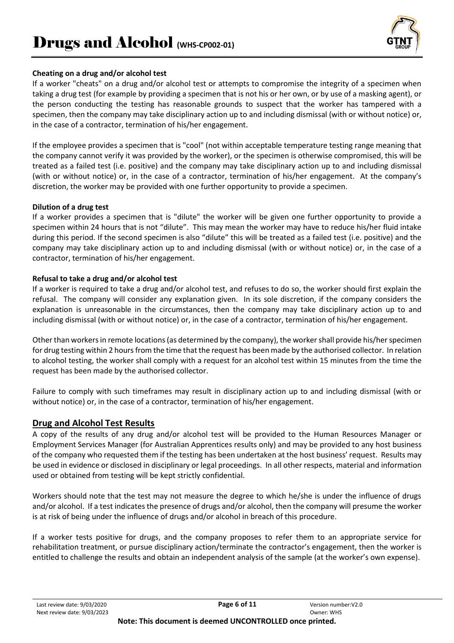

#### **Cheating on a drug and/or alcohol test**

If a worker "cheats" on a drug and/or alcohol test or attempts to compromise the integrity of a specimen when taking a drug test (for example by providing a specimen that is not his or her own, or by use of a masking agent), or the person conducting the testing has reasonable grounds to suspect that the worker has tampered with a specimen, then the company may take disciplinary action up to and including dismissal (with or without notice) or, in the case of a contractor, termination of his/her engagement.

If the employee provides a specimen that is "cool" (not within acceptable temperature testing range meaning that the company cannot verify it was provided by the worker), or the specimen is otherwise compromised, this will be treated as a failed test (i.e. positive) and the company may take disciplinary action up to and including dismissal (with or without notice) or, in the case of a contractor, termination of his/her engagement. At the company's discretion, the worker may be provided with one further opportunity to provide a specimen.

#### **Dilution of a drug test**

If a worker provides a specimen that is "dilute" the worker will be given one further opportunity to provide a specimen within 24 hours that is not "dilute". This may mean the worker may have to reduce his/her fluid intake during this period. If the second specimen is also "dilute" this will be treated as a failed test (i.e. positive) and the company may take disciplinary action up to and including dismissal (with or without notice) or, in the case of a contractor, termination of his/her engagement.

#### **Refusal to take a drug and/or alcohol test**

If a worker is required to take a drug and/or alcohol test, and refuses to do so, the worker should first explain the refusal. The company will consider any explanation given. In its sole discretion, if the company considers the explanation is unreasonable in the circumstances, then the company may take disciplinary action up to and including dismissal (with or without notice) or, in the case of a contractor, termination of his/her engagement.

Other than workers in remote locations (as determined by the company), the worker shall provide his/her specimen for drug testing within 2 hours from the time that the request has been made by the authorised collector. In relation to alcohol testing, the worker shall comply with a request for an alcohol test within 15 minutes from the time the request has been made by the authorised collector.

Failure to comply with such timeframes may result in disciplinary action up to and including dismissal (with or without notice) or, in the case of a contractor, termination of his/her engagement.

#### **Drug and Alcohol Test Results**

A copy of the results of any drug and/or alcohol test will be provided to the Human Resources Manager or Employment Services Manager (for Australian Apprentices results only) and may be provided to any host business of the company who requested them if the testing has been undertaken at the host business' request. Results may be used in evidence or disclosed in disciplinary or legal proceedings. In all other respects, material and information used or obtained from testing will be kept strictly confidential.

Workers should note that the test may not measure the degree to which he/she is under the influence of drugs and/or alcohol. If a test indicates the presence of drugs and/or alcohol, then the company will presume the worker is at risk of being under the influence of drugs and/or alcohol in breach of this procedure.

If a worker tests positive for drugs, and the company proposes to refer them to an appropriate service for rehabilitation treatment, or pursue disciplinary action/terminate the contractor's engagement, then the worker is entitled to challenge the results and obtain an independent analysis of the sample (at the worker's own expense).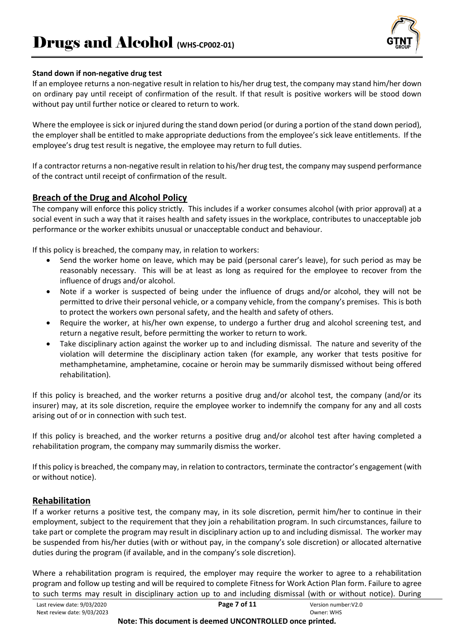

#### **Stand down if non-negative drug test**

If an employee returns a non-negative result in relation to his/her drug test, the company may stand him/her down on ordinary pay until receipt of confirmation of the result. If that result is positive workers will be stood down without pay until further notice or cleared to return to work.

Where the employee is sick or injured during the stand down period (or during a portion of the stand down period), the employer shall be entitled to make appropriate deductions from the employee's sick leave entitlements. If the employee's drug test result is negative, the employee may return to full duties.

If a contractor returns a non-negative result in relation to his/her drug test, the company may suspend performance of the contract until receipt of confirmation of the result.

## **Breach of the Drug and Alcohol Policy**

The company will enforce this policy strictly. This includes if a worker consumes alcohol (with prior approval) at a social event in such a way that it raises health and safety issues in the workplace, contributes to unacceptable job performance or the worker exhibits unusual or unacceptable conduct and behaviour.

If this policy is breached, the company may, in relation to workers:

- Send the worker home on leave, which may be paid (personal carer's leave), for such period as may be reasonably necessary. This will be at least as long as required for the employee to recover from the influence of drugs and/or alcohol.
- Note if a worker is suspected of being under the influence of drugs and/or alcohol, they will not be permitted to drive their personal vehicle, or a company vehicle, from the company's premises. This is both to protect the workers own personal safety, and the health and safety of others.
- Require the worker, at his/her own expense, to undergo a further drug and alcohol screening test, and return a negative result, before permitting the worker to return to work.
- Take disciplinary action against the worker up to and including dismissal. The nature and severity of the violation will determine the disciplinary action taken (for example, any worker that tests positive for methamphetamine, amphetamine, cocaine or heroin may be summarily dismissed without being offered rehabilitation).

If this policy is breached, and the worker returns a positive drug and/or alcohol test, the company (and/or its insurer) may, at its sole discretion, require the employee worker to indemnify the company for any and all costs arising out of or in connection with such test.

If this policy is breached, and the worker returns a positive drug and/or alcohol test after having completed a rehabilitation program, the company may summarily dismiss the worker.

If this policy is breached, the company may, in relation to contractors, terminate the contractor's engagement (with or without notice).

## **Rehabilitation**

If a worker returns a positive test, the company may, in its sole discretion, permit him/her to continue in their employment, subject to the requirement that they join a rehabilitation program. In such circumstances, failure to take part or complete the program may result in disciplinary action up to and including dismissal. The worker may be suspended from his/her duties (with or without pay, in the company's sole discretion) or allocated alternative duties during the program (if available, and in the company's sole discretion).

Where a rehabilitation program is required, the employer may require the worker to agree to a rehabilitation program and follow up testing and will be required to complete Fitness for Work Action Plan form. Failure to agree to such terms may result in disciplinary action up to and including dismissal (with or without notice). During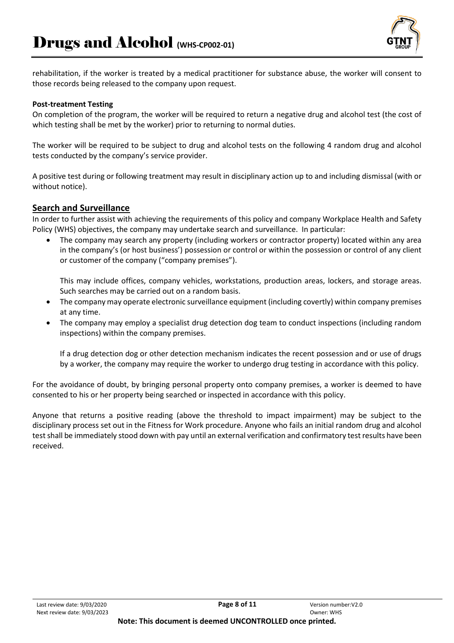

rehabilitation, if the worker is treated by a medical practitioner for substance abuse, the worker will consent to those records being released to the company upon request.

#### **Post-treatment Testing**

On completion of the program, the worker will be required to return a negative drug and alcohol test (the cost of which testing shall be met by the worker) prior to returning to normal duties.

The worker will be required to be subject to drug and alcohol tests on the following 4 random drug and alcohol tests conducted by the company's service provider.

A positive test during or following treatment may result in disciplinary action up to and including dismissal (with or without notice).

#### **Search and Surveillance**

In order to further assist with achieving the requirements of this policy and company Workplace Health and Safety Policy (WHS) objectives, the company may undertake search and surveillance. In particular:

• The company may search any property (including workers or contractor property) located within any area in the company's (or host business') possession or control or within the possession or control of any client or customer of the company ("company premises").

This may include offices, company vehicles, workstations, production areas, lockers, and storage areas. Such searches may be carried out on a random basis.

- The company may operate electronic surveillance equipment (including covertly) within company premises at any time.
- The company may employ a specialist drug detection dog team to conduct inspections (including random inspections) within the company premises.

If a drug detection dog or other detection mechanism indicates the recent possession and or use of drugs by a worker, the company may require the worker to undergo drug testing in accordance with this policy.

For the avoidance of doubt, by bringing personal property onto company premises, a worker is deemed to have consented to his or her property being searched or inspected in accordance with this policy.

Anyone that returns a positive reading (above the threshold to impact impairment) may be subject to the disciplinary process set out in the Fitness for Work procedure. Anyone who fails an initial random drug and alcohol test shall be immediately stood down with pay until an external verification and confirmatory test results have been received.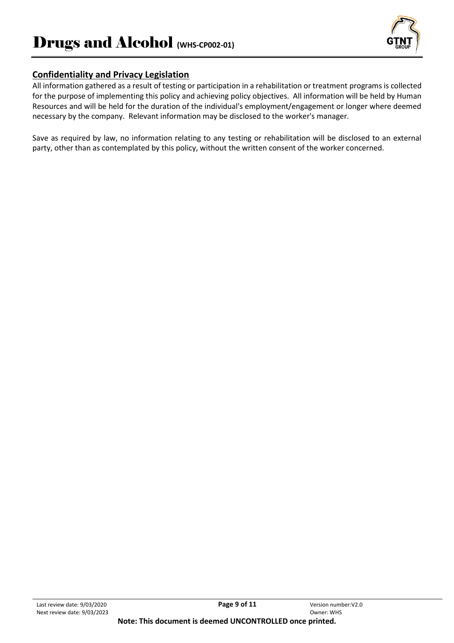

## **Confidentiality and Privacy Legislation**

All information gathered as a result of testing or participation in a rehabilitation or treatment programs is collected for the purpose of implementing this policy and achieving policy objectives. All information will be held by Human Resources and will be held for the duration of the individual's employment/engagement or longer where deemed necessary by the company. Relevant information may be disclosed to the worker's manager.

Save as required by law, no information relating to any testing or rehabilitation will be disclosed to an external party, other than as contemplated by this policy, without the written consent of the worker concerned.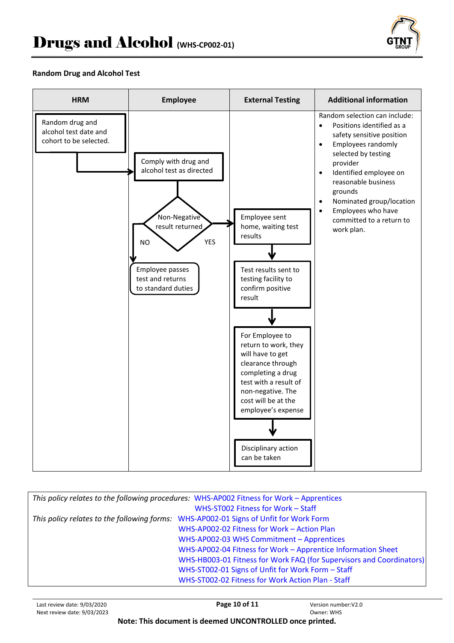

#### **Random Drug and Alcohol Test**



| This policy relates to the following procedures: WHS-AP002 Fitness for Work - Apprentices |                                                                                       |
|-------------------------------------------------------------------------------------------|---------------------------------------------------------------------------------------|
|                                                                                           | WHS-ST002 Fitness for Work - Staff                                                    |
|                                                                                           | This policy relates to the following forms: WHS-AP002-01 Signs of Unfit for Work Form |
|                                                                                           | WHS-AP002-02 Fitness for Work - Action Plan                                           |
|                                                                                           | WHS-AP002-03 WHS Commitment - Apprentices                                             |
|                                                                                           | WHS-AP002-04 Fitness for Work - Apprentice Information Sheet                          |
|                                                                                           | WHS-HB003-01 Fitness for Work FAQ (for Supervisors and Coordinators)                  |
|                                                                                           | WHS-ST002-01 Signs of Unfit for Work Form - Staff                                     |
|                                                                                           | WHS-ST002-02 Fitness for Work Action Plan - Staff                                     |